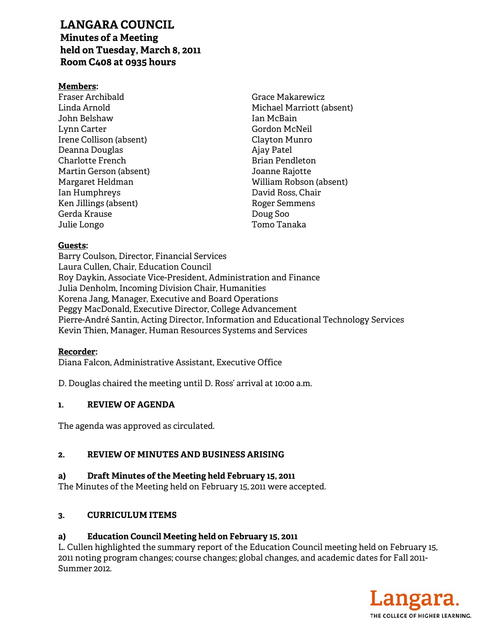# **LANGARA COUNCIL**

**Minutes of a Meeting held on Tuesday, March 8, 2011 Room C408 at 0935 hours** 

## **Members:**

Fraser Archibald Linda Arnold John Belshaw Lynn Carter Irene Collison (absent) Deanna Douglas Charlotte French Martin Gerson (absent) Margaret Heldman Ian Humphreys Ken Jillings (absent) Gerda Krause Julie Longo

Grace Makarewicz Michael Marriott (absent) Ian McBain Gordon McNeil Clayton Munro Ajay Patel Brian Pendleton Joanne Rajotte William Robson (absent) David Ross, Chair Roger Semmens Doug Soo Tomo Tanaka

## **Guests:**

Barry Coulson, Director, Financial Services Laura Cullen, Chair, Education Council Roy Daykin, Associate Vice-President, Administration and Finance Julia Denholm, Incoming Division Chair, Humanities Korena Jang, Manager, Executive and Board Operations Peggy MacDonald, Executive Director, College Advancement Pierre-André Santin, Acting Director, Information and Educational Technology Services Kevin Thien, Manager, Human Resources Systems and Services

#### **Recorder:**

Diana Falcon, Administrative Assistant, Executive Office

D. Douglas chaired the meeting until D. Ross' arrival at 10:00 a.m.

# **1. REVIEW OF AGENDA**

The agenda was approved as circulated.

# **2. REVIEW OF MINUTES AND BUSINESS ARISING**

# **a) Draft Minutes of the Meeting held February 15, 2011**

The Minutes of the Meeting held on February 15, 2011 were accepted.

# **3. CURRICULUM ITEMS**

# **a) Education Council Meeting held on February 15, 2011**

L. Cullen highlighted the summary report of the Education Council meeting held on February 15, 2011 noting program changes; course changes; global changes, and academic dates for Fall 2011- Summer 2012.